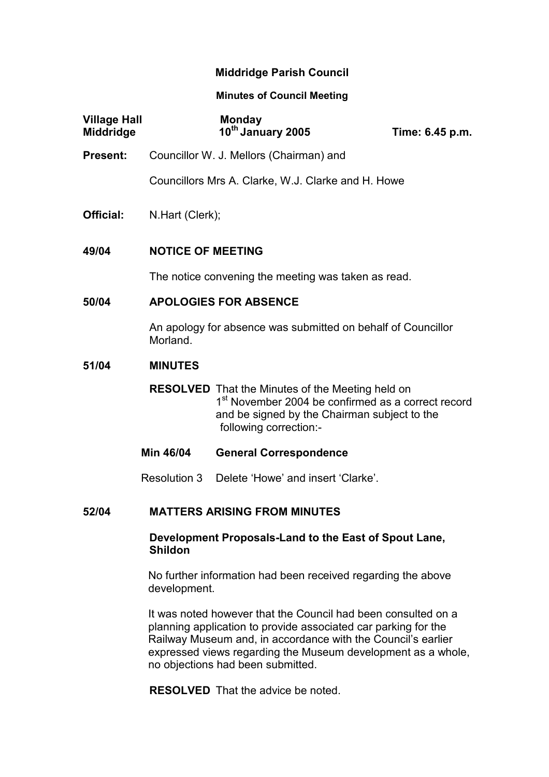# Middridge Parish Council

### Minutes of Council Meeting

| <b>Village Hall</b><br><b>Middridge</b> |                                                                              | <b>Monday</b><br>10th January 2005                                                                                                                                                                  | Time: 6.45 p.m. |  |
|-----------------------------------------|------------------------------------------------------------------------------|-----------------------------------------------------------------------------------------------------------------------------------------------------------------------------------------------------|-----------------|--|
| Present:                                | Councillor W. J. Mellors (Chairman) and                                      |                                                                                                                                                                                                     |                 |  |
|                                         | Councillors Mrs A. Clarke, W.J. Clarke and H. Howe                           |                                                                                                                                                                                                     |                 |  |
| Official:                               | N.Hart (Clerk);                                                              |                                                                                                                                                                                                     |                 |  |
| 49/04                                   | <b>NOTICE OF MEETING</b>                                                     |                                                                                                                                                                                                     |                 |  |
|                                         | The notice convening the meeting was taken as read.                          |                                                                                                                                                                                                     |                 |  |
| 50/04                                   | <b>APOLOGIES FOR ABSENCE</b>                                                 |                                                                                                                                                                                                     |                 |  |
|                                         | An apology for absence was submitted on behalf of Councillor<br>Morland.     |                                                                                                                                                                                                     |                 |  |
| 51/04                                   | <b>MINUTES</b>                                                               |                                                                                                                                                                                                     |                 |  |
|                                         |                                                                              | <b>RESOLVED</b> That the Minutes of the Meeting held on<br>1 <sup>st</sup> November 2004 be confirmed as a correct record<br>and be signed by the Chairman subject to the<br>following correction:- |                 |  |
|                                         | Min 46/04                                                                    | <b>General Correspondence</b>                                                                                                                                                                       |                 |  |
|                                         |                                                                              | Resolution 3 Delete 'Howe' and insert 'Clarke'.                                                                                                                                                     |                 |  |
| 52/04                                   | <b>MATTERS ARISING FROM MINUTES</b>                                          |                                                                                                                                                                                                     |                 |  |
|                                         | Development Proposals-Land to the East of Spout Lane,<br><b>Shildon</b>      |                                                                                                                                                                                                     |                 |  |
|                                         | No further information had been received regarding the above<br>development. |                                                                                                                                                                                                     |                 |  |

It was noted however that the Council had been consulted on a planning application to provide associated car parking for the Railway Museum and, in accordance with the Council's earlier expressed views regarding the Museum development as a whole, no objections had been submitted.

RESOLVED That the advice be noted.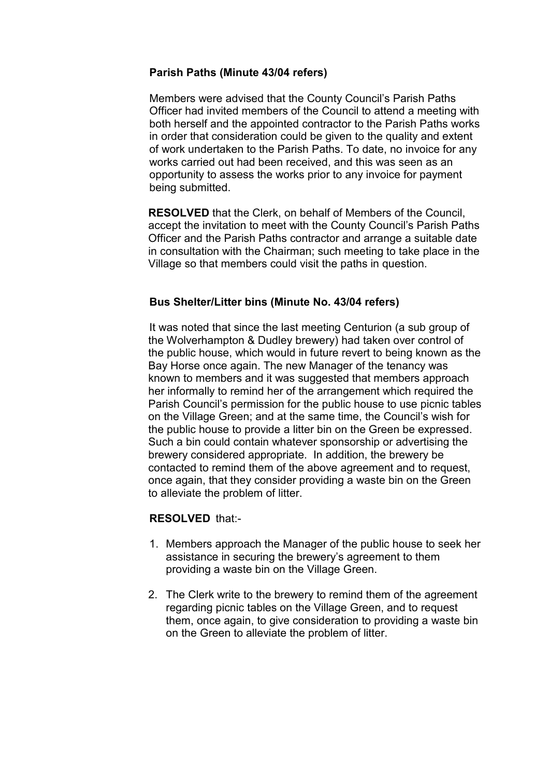## Parish Paths (Minute 43/04 refers)

Members were advised that the County Council's Parish Paths Officer had invited members of the Council to attend a meeting with both herself and the appointed contractor to the Parish Paths works in order that consideration could be given to the quality and extent of work undertaken to the Parish Paths. To date, no invoice for any works carried out had been received, and this was seen as an opportunity to assess the works prior to any invoice for payment being submitted.

RESOLVED that the Clerk, on behalf of Members of the Council, accept the invitation to meet with the County Council's Parish Paths Officer and the Parish Paths contractor and arrange a suitable date in consultation with the Chairman; such meeting to take place in the Village so that members could visit the paths in question.

### Bus Shelter/Litter bins (Minute No. 43/04 refers)

 It was noted that since the last meeting Centurion (a sub group of the Wolverhampton & Dudley brewery) had taken over control of the public house, which would in future revert to being known as the Bay Horse once again. The new Manager of the tenancy was known to members and it was suggested that members approach her informally to remind her of the arrangement which required the Parish Council's permission for the public house to use picnic tables on the Village Green; and at the same time, the Council's wish for the public house to provide a litter bin on the Green be expressed. Such a bin could contain whatever sponsorship or advertising the brewery considered appropriate. In addition, the brewery be contacted to remind them of the above agreement and to request, once again, that they consider providing a waste bin on the Green to alleviate the problem of litter.

#### RESOLVED that:-

- 1. Members approach the Manager of the public house to seek her assistance in securing the brewery's agreement to them providing a waste bin on the Village Green.
- 2. The Clerk write to the brewery to remind them of the agreement regarding picnic tables on the Village Green, and to request them, once again, to give consideration to providing a waste bin on the Green to alleviate the problem of litter.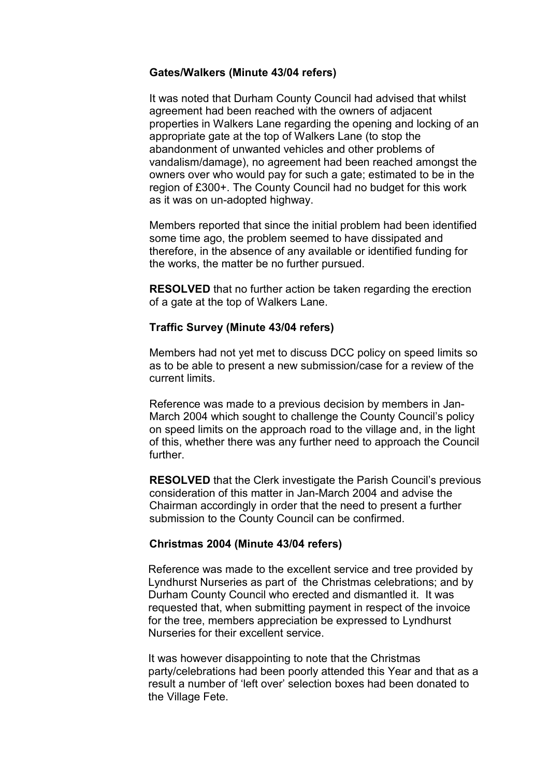### Gates/Walkers (Minute 43/04 refers)

It was noted that Durham County Council had advised that whilst agreement had been reached with the owners of adjacent properties in Walkers Lane regarding the opening and locking of an appropriate gate at the top of Walkers Lane (to stop the abandonment of unwanted vehicles and other problems of vandalism/damage), no agreement had been reached amongst the owners over who would pay for such a gate; estimated to be in the region of £300+. The County Council had no budget for this work as it was on un-adopted highway.

 Members reported that since the initial problem had been identified some time ago, the problem seemed to have dissipated and therefore, in the absence of any available or identified funding for the works, the matter be no further pursued.

RESOLVED that no further action be taken regarding the erection of a gate at the top of Walkers Lane.

### Traffic Survey (Minute 43/04 refers)

Members had not yet met to discuss DCC policy on speed limits so as to be able to present a new submission/case for a review of the current limits.

Reference was made to a previous decision by members in Jan-March 2004 which sought to challenge the County Council's policy on speed limits on the approach road to the village and, in the light of this, whether there was any further need to approach the Council further.

RESOLVED that the Clerk investigate the Parish Council's previous consideration of this matter in Jan-March 2004 and advise the Chairman accordingly in order that the need to present a further submission to the County Council can be confirmed.

## Christmas 2004 (Minute 43/04 refers)

Reference was made to the excellent service and tree provided by Lyndhurst Nurseries as part of the Christmas celebrations; and by Durham County Council who erected and dismantled it. It was requested that, when submitting payment in respect of the invoice for the tree, members appreciation be expressed to Lyndhurst Nurseries for their excellent service.

 It was however disappointing to note that the Christmas party/celebrations had been poorly attended this Year and that as a result a number of 'left over' selection boxes had been donated to the Village Fete.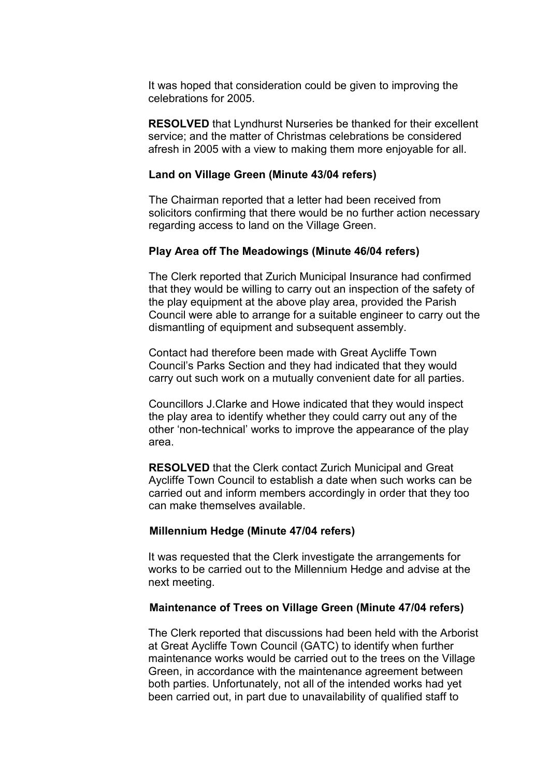It was hoped that consideration could be given to improving the celebrations for 2005.

RESOLVED that Lyndhurst Nurseries be thanked for their excellent service; and the matter of Christmas celebrations be considered afresh in 2005 with a view to making them more enjoyable for all.

#### Land on Village Green (Minute 43/04 refers)

The Chairman reported that a letter had been received from solicitors confirming that there would be no further action necessary regarding access to land on the Village Green.

### Play Area off The Meadowings (Minute 46/04 refers)

The Clerk reported that Zurich Municipal Insurance had confirmed that they would be willing to carry out an inspection of the safety of the play equipment at the above play area, provided the Parish Council were able to arrange for a suitable engineer to carry out the dismantling of equipment and subsequent assembly.

Contact had therefore been made with Great Aycliffe Town Council's Parks Section and they had indicated that they would carry out such work on a mutually convenient date for all parties.

Councillors J.Clarke and Howe indicated that they would inspect the play area to identify whether they could carry out any of the other 'non-technical' works to improve the appearance of the play area.

RESOLVED that the Clerk contact Zurich Municipal and Great Aycliffe Town Council to establish a date when such works can be carried out and inform members accordingly in order that they too can make themselves available.

#### Millennium Hedge (Minute 47/04 refers)

It was requested that the Clerk investigate the arrangements for works to be carried out to the Millennium Hedge and advise at the next meeting.

### Maintenance of Trees on Village Green (Minute 47/04 refers)

The Clerk reported that discussions had been held with the Arborist at Great Aycliffe Town Council (GATC) to identify when further maintenance works would be carried out to the trees on the Village Green, in accordance with the maintenance agreement between both parties. Unfortunately, not all of the intended works had yet been carried out, in part due to unavailability of qualified staff to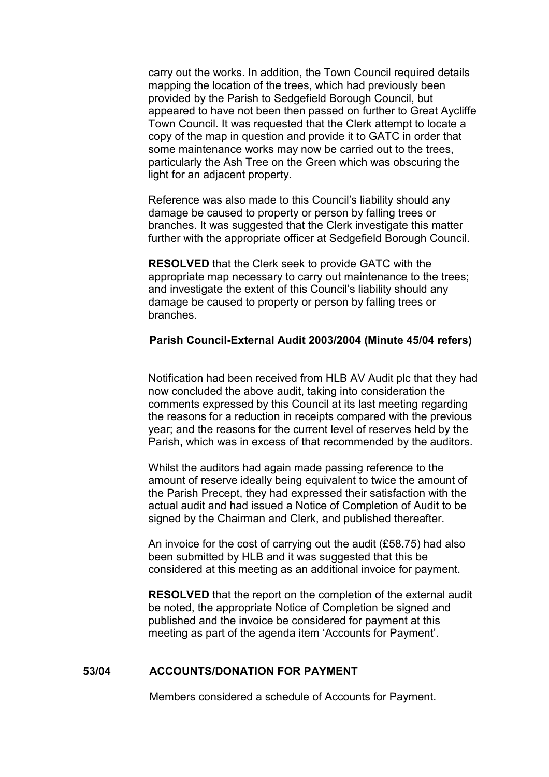carry out the works. In addition, the Town Council required details mapping the location of the trees, which had previously been provided by the Parish to Sedgefield Borough Council, but appeared to have not been then passed on further to Great Aycliffe Town Council. It was requested that the Clerk attempt to locate a copy of the map in question and provide it to GATC in order that some maintenance works may now be carried out to the trees, particularly the Ash Tree on the Green which was obscuring the light for an adjacent property.

 Reference was also made to this Council's liability should any damage be caused to property or person by falling trees or branches. It was suggested that the Clerk investigate this matter further with the appropriate officer at Sedgefield Borough Council.

RESOLVED that the Clerk seek to provide GATC with the appropriate map necessary to carry out maintenance to the trees; and investigate the extent of this Council's liability should any damage be caused to property or person by falling trees or branches.

### Parish Council-External Audit 2003/2004 (Minute 45/04 refers)

Notification had been received from HLB AV Audit plc that they had now concluded the above audit, taking into consideration the comments expressed by this Council at its last meeting regarding the reasons for a reduction in receipts compared with the previous year; and the reasons for the current level of reserves held by the Parish, which was in excess of that recommended by the auditors.

 Whilst the auditors had again made passing reference to the amount of reserve ideally being equivalent to twice the amount of the Parish Precept, they had expressed their satisfaction with the actual audit and had issued a Notice of Completion of Audit to be signed by the Chairman and Clerk, and published thereafter.

 An invoice for the cost of carrying out the audit (£58.75) had also been submitted by HLB and it was suggested that this be considered at this meeting as an additional invoice for payment.

RESOLVED that the report on the completion of the external audit be noted, the appropriate Notice of Completion be signed and published and the invoice be considered for payment at this meeting as part of the agenda item 'Accounts for Payment'.

#### 53/04 ACCOUNTS/DONATION FOR PAYMENT

Members considered a schedule of Accounts for Payment.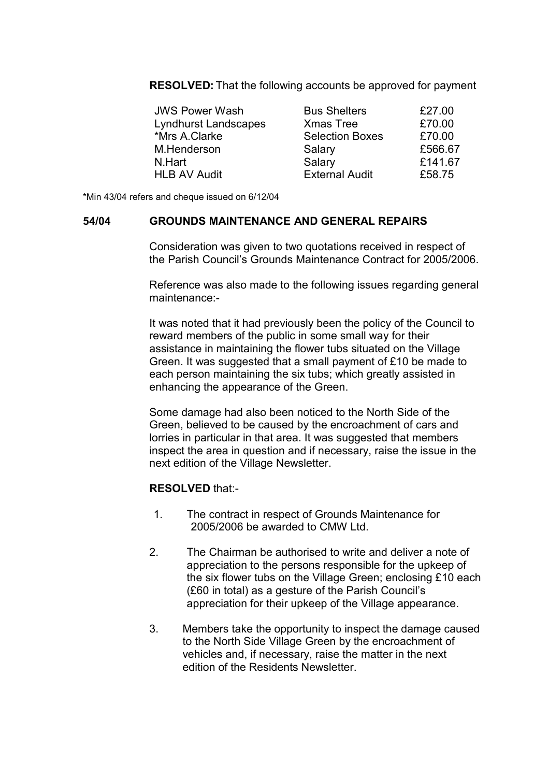RESOLVED: That the following accounts be approved for payment

| <b>JWS Power Wash</b>       | <b>Bus Shelters</b>    | £27.00  |
|-----------------------------|------------------------|---------|
| <b>Lyndhurst Landscapes</b> | <b>Xmas Tree</b>       | £70.00  |
| *Mrs A.Clarke               | <b>Selection Boxes</b> | £70.00  |
| M.Henderson                 | Salary                 | £566.67 |
| N.Hart                      | Salary                 | £141.67 |
| <b>HLB AV Audit</b>         | <b>External Audit</b>  | £58.75  |

\*Min 43/04 refers and cheque issued on 6/12/04

### 54/04 GROUNDS MAINTENANCE AND GENERAL REPAIRS

Consideration was given to two quotations received in respect of the Parish Council's Grounds Maintenance Contract for 2005/2006.

Reference was also made to the following issues regarding general maintenance:-

It was noted that it had previously been the policy of the Council to reward members of the public in some small way for their assistance in maintaining the flower tubs situated on the Village Green. It was suggested that a small payment of £10 be made to each person maintaining the six tubs; which greatly assisted in enhancing the appearance of the Green.

Some damage had also been noticed to the North Side of the Green, believed to be caused by the encroachment of cars and lorries in particular in that area. It was suggested that members inspect the area in question and if necessary, raise the issue in the next edition of the Village Newsletter.

#### RESOLVED that:-

- 1. The contract in respect of Grounds Maintenance for 2005/2006 be awarded to CMW Ltd.
- 2. The Chairman be authorised to write and deliver a note of appreciation to the persons responsible for the upkeep of the six flower tubs on the Village Green; enclosing £10 each (£60 in total) as a gesture of the Parish Council's appreciation for their upkeep of the Village appearance.
- 3. Members take the opportunity to inspect the damage caused to the North Side Village Green by the encroachment of vehicles and, if necessary, raise the matter in the next edition of the Residents Newsletter.